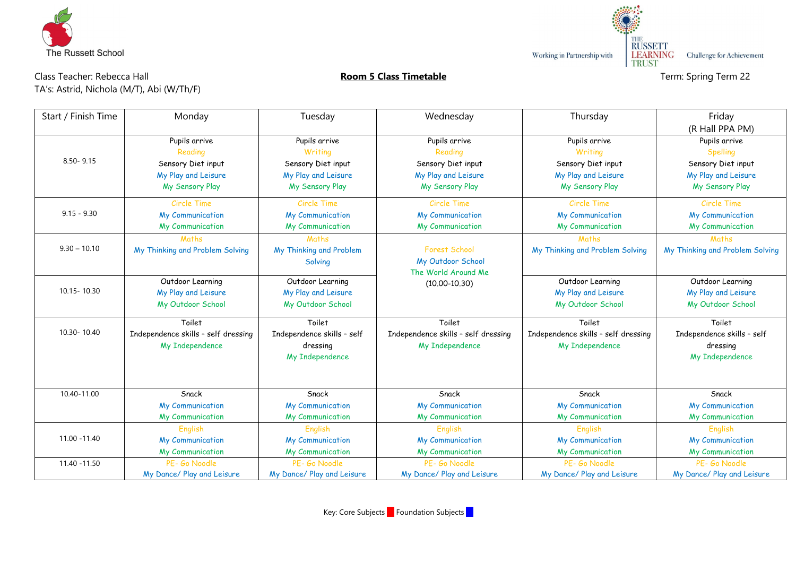

Working in Partnership with

THE<br>
RUSSETT<br>
LEARNING Challenge for Achievement<br>
TRUST

## **Room 5 Class Timetable Teachers: Room 5 Class Timetable Term: Spring Term 22**

| Class Teacher: Rebecca Hall               |  |  |  |  |  |  |  |  |
|-------------------------------------------|--|--|--|--|--|--|--|--|
| TA's: Astrid, Nichola (M/T), Abi (W/Th/F) |  |  |  |  |  |  |  |  |

| Start / Finish Time | Monday                              | Tuesday                    | Wednesday                           | Thursday                            | Friday                          |
|---------------------|-------------------------------------|----------------------------|-------------------------------------|-------------------------------------|---------------------------------|
|                     |                                     |                            |                                     |                                     | (R Hall PPA PM)                 |
|                     | Pupils arrive                       | Pupils arrive              | Pupils arrive                       | Pupils arrive                       | Pupils arrive                   |
|                     | Reading                             | Writing                    | Reading                             | Writing                             | Spelling                        |
| $8.50 - 9.15$       | Sensory Diet input                  | Sensory Diet input         | Sensory Diet input                  | Sensory Diet input                  | Sensory Diet input              |
|                     | My Play and Leisure                 | My Play and Leisure        | My Play and Leisure                 | My Play and Leisure                 | My Play and Leisure             |
|                     | My Sensory Play                     | My Sensory Play            | My Sensory Play                     | My Sensory Play                     | My Sensory Play                 |
|                     | Circle Time                         | <b>Circle Time</b>         | Circle Time                         | Circle Time                         | Circle Time                     |
| $9.15 - 9.30$       | My Communication                    | My Communication           | My Communication                    | <b>My Communication</b>             | My Communication                |
|                     | My Communication                    | My Communication           | My Communication                    | My Communication                    | My Communication                |
|                     | Maths                               | Maths                      |                                     | Maths                               | Maths                           |
| $9.30 - 10.10$      | My Thinking and Problem Solving     | My Thinking and Problem    | <b>Forest School</b>                | My Thinking and Problem Solving     | My Thinking and Problem Solving |
|                     |                                     | Solving                    | My Outdoor School                   |                                     |                                 |
|                     |                                     |                            | The World Around Me                 |                                     |                                 |
| 10.15 - 10.30       | Outdoor Learning                    | Outdoor Learning           | $(10.00 - 10.30)$                   | Outdoor Learning                    | Outdoor Learning                |
|                     | My Play and Leisure                 | My Play and Leisure        |                                     | My Play and Leisure                 | My Play and Leisure             |
|                     | My Outdoor School                   | My Outdoor School          |                                     | My Outdoor School                   | My Outdoor School               |
|                     | Toilet                              | Toilet                     | Toilet                              | Toilet                              | Toilet                          |
| 10.30-10.40         | Independence skills - self dressing | Independence skills - self | Independence skills - self dressing | Independence skills - self dressing | Independence skills - self      |
|                     | My Independence                     | dressing                   | My Independence                     | <b>My Independence</b>              | dressing                        |
|                     |                                     | My Independence            |                                     |                                     | My Independence                 |
|                     |                                     |                            |                                     |                                     |                                 |
|                     |                                     |                            |                                     |                                     |                                 |
| 10.40-11.00         | Snack                               | Snack                      | Snack                               | Snack                               | Snack                           |
|                     | My Communication                    | <b>My Communication</b>    | <b>My Communication</b>             | <b>My Communication</b>             | My Communication                |
|                     | My Communication                    | My Communication           | My Communication                    | My Communication                    | My Communication                |
|                     | English                             | English                    | English                             | English                             | English                         |
| 11.00 - 11.40       | My Communication                    | My Communication           | My Communication                    | <b>My Communication</b>             | My Communication                |
|                     | My Communication                    | My Communication           | My Communication                    | My Communication                    | My Communication                |
| 11.40 - 11.50       | PE- Go Noodle                       | PF- Go Noodle              | PE- Go Noodle                       | PF- Go Noodle                       | PE- Go Noodle                   |
|                     | My Dance/ Play and Leisure          | My Dance/ Play and Leisure | My Dance/ Play and Leisure          | My Dance/ Play and Leisure          | My Dance/ Play and Leisure      |